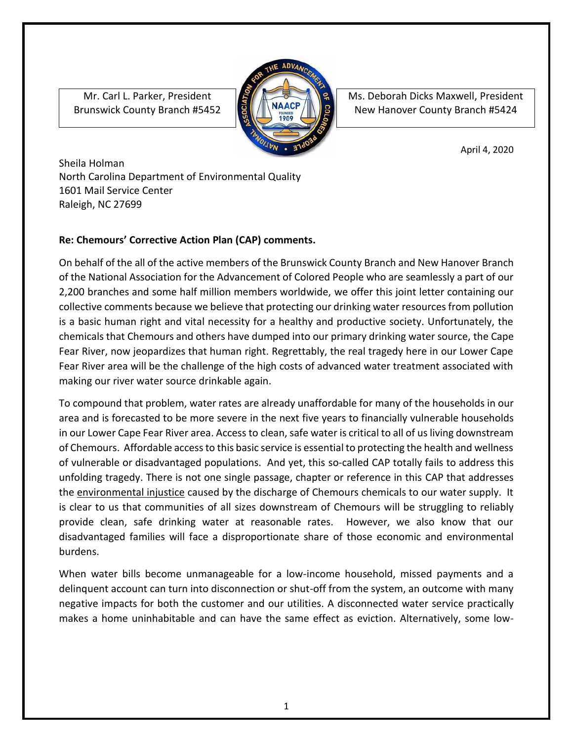Mr. Carl L. Parker, President Brunswick County Branch #5452



Ms. Deborah Dicks Maxwell, President New Hanover County Branch #5424

April 4, 2020

Sheila Holman North Carolina Department of Environmental Quality 1601 Mail Service Center Raleigh, NC 27699

## **Re: Chemours' Corrective Action Plan (CAP) comments.**

On behalf of the all of the active members of the Brunswick County Branch and New Hanover Branch of the National Association for the Advancement of Colored People who are seamlessly a part of our 2,200 branches and some half million members worldwide, we offer this joint letter containing our collective comments because we believe that protecting our drinking water resources from pollution is a basic human right and vital necessity for a healthy and productive society. Unfortunately, the chemicals that Chemours and others have dumped into our primary drinking water source, the Cape Fear River, now jeopardizes that human right. Regrettably, the real tragedy here in our Lower Cape Fear River area will be the challenge of the high costs of advanced water treatment associated with making our river water source drinkable again.

To compound that problem, water rates are already unaffordable for many of the households in our area and is forecasted to be more severe in the next five years to financially vulnerable households in our Lower Cape Fear River area. Access to clean, safe water is critical to all of us living downstream of Chemours. Affordable access to this basic service is essential to protecting the health and wellness of vulnerable or disadvantaged populations. And yet, this so-called CAP totally fails to address this unfolding tragedy. There is not one single passage, chapter or reference in this CAP that addresses the environmental injustice caused by the discharge of Chemours chemicals to our water supply. It is clear to us that communities of all sizes downstream of Chemours will be struggling to reliably provide clean, safe drinking water at reasonable rates. However, we also know that our disadvantaged families will face a disproportionate share of those economic and environmental burdens.

When water bills become unmanageable for a low-income household, missed payments and a delinquent account can turn into disconnection or shut-off from the system, an outcome with many negative impacts for both the customer and our utilities. A disconnected water service practically makes a home uninhabitable and can have the same effect as eviction. Alternatively, some low-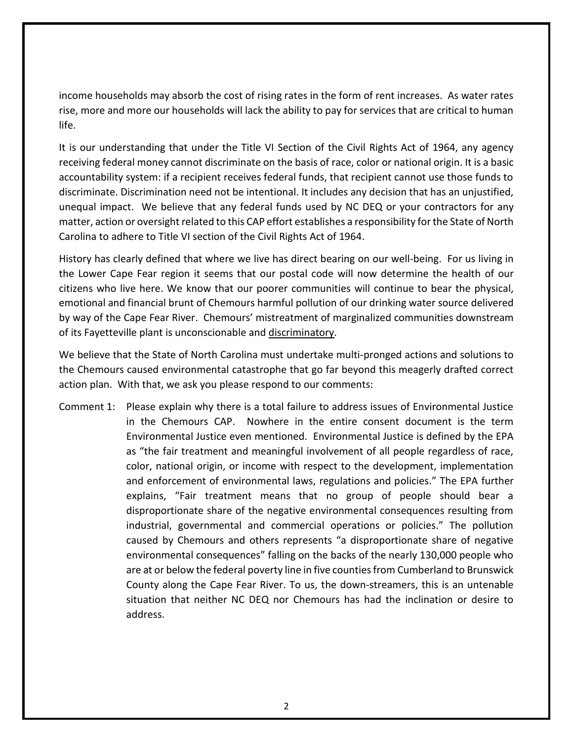income households may absorb the cost of rising rates in the form of rent increases. As water rates rise, more and more our households will lack the ability to pay for services that are critical to human life.

It is our understanding that under the Title VI Section of the Civil Rights Act of 1964, any agency receiving federal money cannot discriminate on the basis of race, color or national origin. It is a basic accountability system: if a recipient receives federal funds, that recipient cannot use those funds to discriminate. Discrimination need not be intentional. It includes any decision that has an unjustified, unequal impact. We believe that any federal funds used by NC DEQ or your contractors for any matter, action or oversight related to this CAP effort establishes a responsibility for the State of North Carolina to adhere to Title VI section of the Civil Rights Act of 1964.

History has clearly defined that where we live has direct bearing on our well-being. For us living in the Lower Cape Fear region it seems that our postal code will now determine the health of our citizens who live here. We know that our poorer communities will continue to bear the physical, emotional and financial brunt of Chemours harmful pollution of our drinking water source delivered by way of the Cape Fear River. Chemours' mistreatment of marginalized communities downstream of its Fayetteville plant is unconscionable and discriminatory.

We believe that the State of North Carolina must undertake multi-pronged actions and solutions to the Chemours caused environmental catastrophe that go far beyond this meagerly drafted correct action plan. With that, we ask you please respond to our comments:

Comment 1: Please explain why there is a total failure to address issues of Environmental Justice in the Chemours CAP. Nowhere in the entire consent document is the term Environmental Justice even mentioned. Environmental Justice is defined by the EPA as "the fair treatment and meaningful involvement of all people regardless of race, color, national origin, or income with respect to the development, implementation and enforcement of environmental laws, regulations and policies." The EPA further explains, "Fair treatment means that no group of people should bear a disproportionate share of the negative environmental consequences resulting from industrial, governmental and commercial operations or policies." The pollution caused by Chemours and others represents "a disproportionate share of negative environmental consequences" falling on the backs of the nearly 130,000 people who are at or below the federal poverty line in five counties from Cumberland to Brunswick County along the Cape Fear River. To us, the down-streamers, this is an untenable situation that neither NC DEQ nor Chemours has had the inclination or desire to address.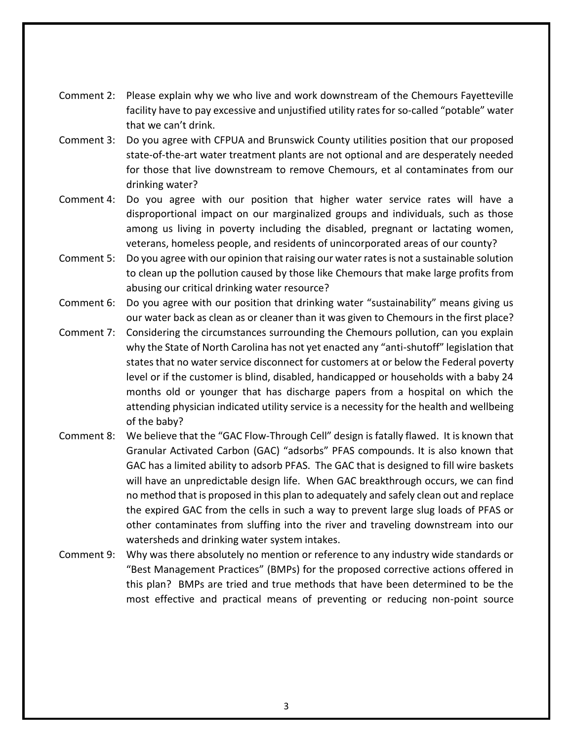- Comment 2: Please explain why we who live and work downstream of the Chemours Fayetteville facility have to pay excessive and unjustified utility rates for so-called "potable" water that we can't drink.
- Comment 3: Do you agree with CFPUA and Brunswick County utilities position that our proposed state-of-the-art water treatment plants are not optional and are desperately needed for those that live downstream to remove Chemours, et al contaminates from our drinking water?
- Comment 4: Do you agree with our position that higher water service rates will have a disproportional impact on our marginalized groups and individuals, such as those among us living in poverty including the disabled, pregnant or lactating women, veterans, homeless people, and residents of unincorporated areas of our county?
- Comment 5: Do you agree with our opinion that raising our water rates is not a sustainable solution to clean up the pollution caused by those like Chemours that make large profits from abusing our critical drinking water resource?
- Comment 6: Do you agree with our position that drinking water "sustainability" means giving us our water back as clean as or cleaner than it was given to Chemours in the first place?
- Comment 7: Considering the circumstances surrounding the Chemours pollution, can you explain why the State of North Carolina has not yet enacted any "anti-shutoff" legislation that states that no water service disconnect for customers at or below the Federal poverty level or if the customer is blind, disabled, handicapped or households with a baby 24 months old or younger that has discharge papers from a hospital on which the attending physician indicated utility service is a necessity for the health and wellbeing of the baby?
- Comment 8: We believe that the "GAC Flow-Through Cell" design is fatally flawed. It is known that Granular Activated Carbon (GAC) "adsorbs" PFAS compounds. It is also known that GAC has a limited ability to adsorb PFAS. The GAC that is designed to fill wire baskets will have an unpredictable design life. When GAC breakthrough occurs, we can find no method that is proposed in this plan to adequately and safely clean out and replace the expired GAC from the cells in such a way to prevent large slug loads of PFAS or other contaminates from sluffing into the river and traveling downstream into our watersheds and drinking water system intakes.
- Comment 9: Why was there absolutely no mention or reference to any industry wide standards or "Best Management Practices" (BMPs) for the proposed corrective actions offered in this plan? BMPs are tried and true methods that have been determined to be the most effective and practical means of preventing or reducing non-point source